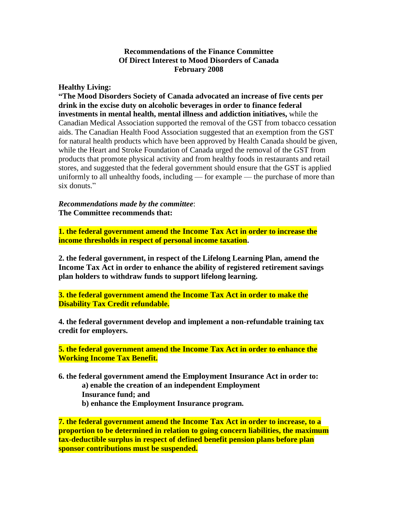### **Recommendations of the Finance Committee Of Direct Interest to Mood Disorders of Canada February 2008**

#### **Healthy Living:**

**"The Mood Disorders Society of Canada advocated an increase of five cents per drink in the excise duty on alcoholic beverages in order to finance federal investments in mental health, mental illness and addiction initiatives,** while the Canadian Medical Association supported the removal of the GST from tobacco cessation aids. The Canadian Health Food Association suggested that an exemption from the GST for natural health products which have been approved by Health Canada should be given, while the Heart and Stroke Foundation of Canada urged the removal of the GST from products that promote physical activity and from healthy foods in restaurants and retail stores, and suggested that the federal government should ensure that the GST is applied uniformly to all unhealthy foods, including — for example — the purchase of more than six donuts."

*Recommendations made by the committee*: **The Committee recommends that:**

**1. the federal government amend the Income Tax Act in order to increase the income thresholds in respect of personal income taxation.**

**2. the federal government, in respect of the Lifelong Learning Plan, amend the Income Tax Act in order to enhance the ability of registered retirement savings plan holders to withdraw funds to support lifelong learning.**

**3. the federal government amend the Income Tax Act in order to make the Disability Tax Credit refundable.**

**4. the federal government develop and implement a non-refundable training tax credit for employers.**

**5. the federal government amend the Income Tax Act in order to enhance the Working Income Tax Benefit.**

- **6. the federal government amend the Employment Insurance Act in order to: a) enable the creation of an independent Employment Insurance fund; and**
	-
	- **b) enhance the Employment Insurance program.**

**7. the federal government amend the Income Tax Act in order to increase, to a proportion to be determined in relation to going concern liabilities, the maximum tax-deductible surplus in respect of defined benefit pension plans before plan sponsor contributions must be suspended.**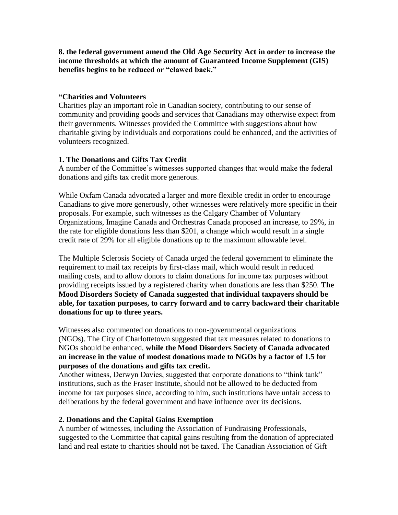**8. the federal government amend the Old Age Security Act in order to increase the income thresholds at which the amount of Guaranteed Income Supplement (GIS) benefits begins to be reduced or "clawed back."**

#### **"Charities and Volunteers**

Charities play an important role in Canadian society, contributing to our sense of community and providing goods and services that Canadians may otherwise expect from their governments. Witnesses provided the Committee with suggestions about how charitable giving by individuals and corporations could be enhanced, and the activities of volunteers recognized.

# **1. The Donations and Gifts Tax Credit**

A number of the Committee's witnesses supported changes that would make the federal donations and gifts tax credit more generous.

While Oxfam Canada advocated a larger and more flexible credit in order to encourage Canadians to give more generously, other witnesses were relatively more specific in their proposals. For example, such witnesses as the Calgary Chamber of Voluntary Organizations, Imagine Canada and Orchestras Canada proposed an increase, to 29%, in the rate for eligible donations less than \$201, a change which would result in a single credit rate of 29% for all eligible donations up to the maximum allowable level.

The Multiple Sclerosis Society of Canada urged the federal government to eliminate the requirement to mail tax receipts by first-class mail, which would result in reduced mailing costs, and to allow donors to claim donations for income tax purposes without providing receipts issued by a registered charity when donations are less than \$250. **The Mood Disorders Society of Canada suggested that individual taxpayers should be able, for taxation purposes, to carry forward and to carry backward their charitable donations for up to three years.**

Witnesses also commented on donations to non-governmental organizations (NGOs). The City of Charlottetown suggested that tax measures related to donations to NGOs should be enhanced, **while the Mood Disorders Society of Canada advocated an increase in the value of modest donations made to NGOs by a factor of 1.5 for purposes of the donations and gifts tax credit.**

Another witness, Derwyn Davies, suggested that corporate donations to "think tank" institutions, such as the Fraser Institute, should not be allowed to be deducted from income for tax purposes since, according to him, such institutions have unfair access to deliberations by the federal government and have influence over its decisions.

# **2. Donations and the Capital Gains Exemption**

A number of witnesses, including the Association of Fundraising Professionals, suggested to the Committee that capital gains resulting from the donation of appreciated land and real estate to charities should not be taxed. The Canadian Association of Gift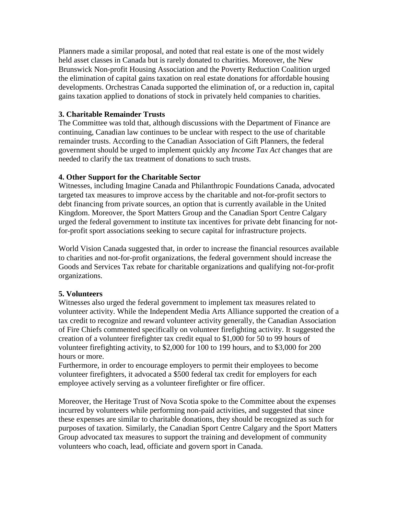Planners made a similar proposal, and noted that real estate is one of the most widely held asset classes in Canada but is rarely donated to charities. Moreover, the New Brunswick Non-profit Housing Association and the Poverty Reduction Coalition urged the elimination of capital gains taxation on real estate donations for affordable housing developments. Orchestras Canada supported the elimination of, or a reduction in, capital gains taxation applied to donations of stock in privately held companies to charities.

# **3. Charitable Remainder Trusts**

The Committee was told that, although discussions with the Department of Finance are continuing, Canadian law continues to be unclear with respect to the use of charitable remainder trusts. According to the Canadian Association of Gift Planners, the federal government should be urged to implement quickly any *Income Tax Act* changes that are needed to clarify the tax treatment of donations to such trusts.

### **4. Other Support for the Charitable Sector**

Witnesses, including Imagine Canada and Philanthropic Foundations Canada, advocated targeted tax measures to improve access by the charitable and not-for-profit sectors to debt financing from private sources, an option that is currently available in the United Kingdom. Moreover, the Sport Matters Group and the Canadian Sport Centre Calgary urged the federal government to institute tax incentives for private debt financing for notfor-profit sport associations seeking to secure capital for infrastructure projects.

World Vision Canada suggested that, in order to increase the financial resources available to charities and not-for-profit organizations, the federal government should increase the Goods and Services Tax rebate for charitable organizations and qualifying not-for-profit organizations.

# **5. Volunteers**

Witnesses also urged the federal government to implement tax measures related to volunteer activity. While the Independent Media Arts Alliance supported the creation of a tax credit to recognize and reward volunteer activity generally, the Canadian Association of Fire Chiefs commented specifically on volunteer firefighting activity. It suggested the creation of a volunteer firefighter tax credit equal to \$1,000 for 50 to 99 hours of volunteer firefighting activity, to \$2,000 for 100 to 199 hours, and to \$3,000 for 200 hours or more.

Furthermore, in order to encourage employers to permit their employees to become volunteer firefighters, it advocated a \$500 federal tax credit for employers for each employee actively serving as a volunteer firefighter or fire officer.

Moreover, the Heritage Trust of Nova Scotia spoke to the Committee about the expenses incurred by volunteers while performing non-paid activities, and suggested that since these expenses are similar to charitable donations, they should be recognized as such for purposes of taxation. Similarly, the Canadian Sport Centre Calgary and the Sport Matters Group advocated tax measures to support the training and development of community volunteers who coach, lead, officiate and govern sport in Canada.